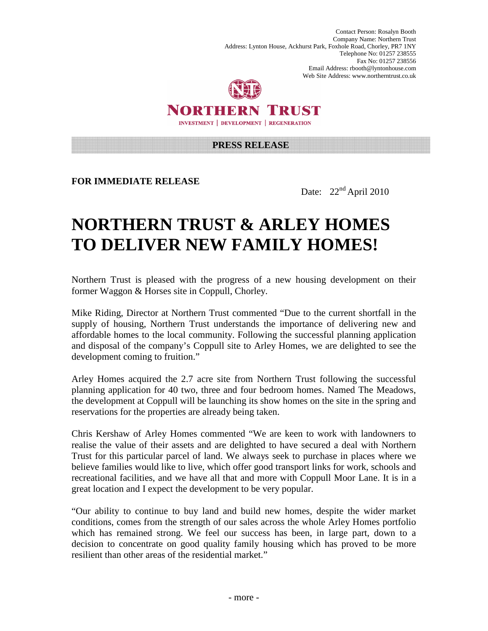Contact Person: Rosalyn Booth Company Name: Northern Trust Address: Lynton House, Ackhurst Park, Foxhole Road, Chorley, PR7 1NY Telephone No: 01257 238555 Fax No: 01257 238556 Email Address: rbooth@lyntonhouse.com Web Site Address: www.northerntrust.co.uk



NORTHERN TRUST **INVESTMENT | DEVELOPMENT | REGENERATION** 

**PRESS RELEASE** 

**FOR IMMEDIATE RELEASE** 

Date: 22<sup>nd</sup> April 2010

## **NORTHERN TRUST & ARLEY HOMES TO DELIVER NEW FAMILY HOMES!**

Northern Trust is pleased with the progress of a new housing development on their former Waggon & Horses site in Coppull, Chorley.

Mike Riding, Director at Northern Trust commented "Due to the current shortfall in the supply of housing, Northern Trust understands the importance of delivering new and affordable homes to the local community. Following the successful planning application and disposal of the company's Coppull site to Arley Homes, we are delighted to see the development coming to fruition."

Arley Homes acquired the 2.7 acre site from Northern Trust following the successful planning application for 40 two, three and four bedroom homes. Named The Meadows, the development at Coppull will be launching its show homes on the site in the spring and reservations for the properties are already being taken.

Chris Kershaw of Arley Homes commented "We are keen to work with landowners to realise the value of their assets and are delighted to have secured a deal with Northern Trust for this particular parcel of land. We always seek to purchase in places where we believe families would like to live, which offer good transport links for work, schools and recreational facilities, and we have all that and more with Coppull Moor Lane. It is in a great location and I expect the development to be very popular.

"Our ability to continue to buy land and build new homes, despite the wider market conditions, comes from the strength of our sales across the whole Arley Homes portfolio which has remained strong. We feel our success has been, in large part, down to a decision to concentrate on good quality family housing which has proved to be more resilient than other areas of the residential market."